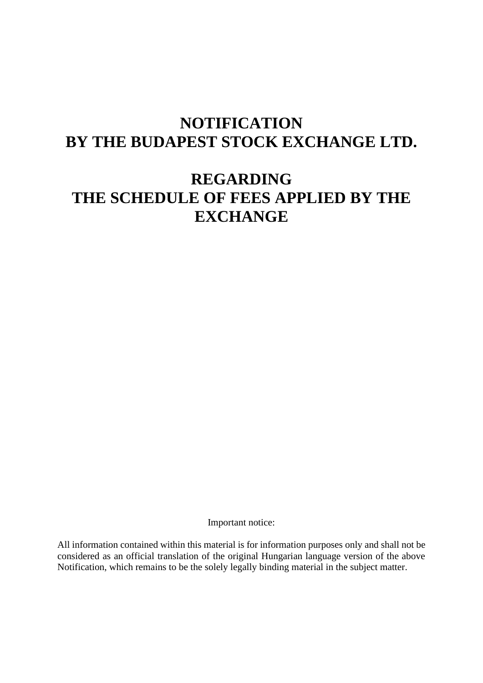# **NOTIFICATION BY THE BUDAPEST STOCK EXCHANGE LTD.**

## **REGARDING THE SCHEDULE OF FEES APPLIED BY THE EXCHANGE**

Important notice:

All information contained within this material is for information purposes only and shall not be considered as an official translation of the original Hungarian language version of the above Notification, which remains to be the solely legally binding material in the subject matter.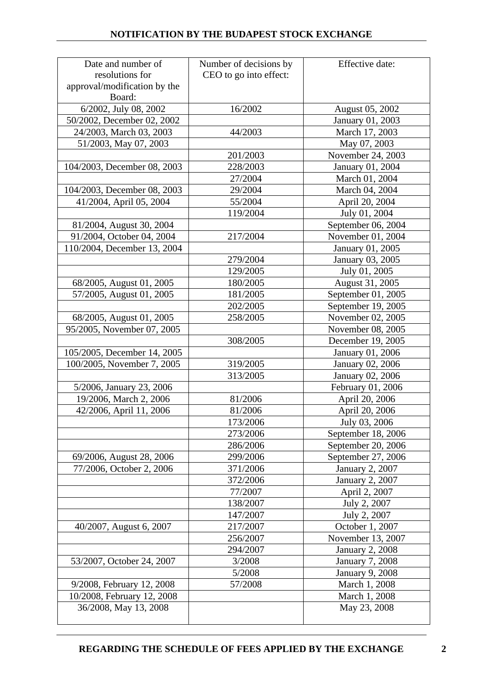| Date and number of           | Number of decisions by | Effective date:        |
|------------------------------|------------------------|------------------------|
| resolutions for              | CEO to go into effect: |                        |
| approval/modification by the |                        |                        |
| Board:                       |                        |                        |
| 6/2002, July 08, 2002        | 16/2002                | August 05, 2002        |
| 50/2002, December 02, 2002   |                        | January 01, 2003       |
| 24/2003, March 03, 2003      | 44/2003                | March 17, 2003         |
| 51/2003, May 07, 2003        |                        | May 07, 2003           |
|                              | 201/2003               | November 24, 2003      |
| 104/2003, December 08, 2003  | 228/2003               | January 01, 2004       |
|                              | 27/2004                | March 01, 2004         |
| 104/2003, December 08, 2003  | 29/2004                | March 04, 2004         |
| 41/2004, April 05, 2004      | 55/2004                | April 20, 2004         |
|                              | 119/2004               | July 01, 2004          |
| 81/2004, August 30, 2004     |                        | September 06, 2004     |
| 91/2004, October 04, 2004    | 217/2004               | November 01, 2004      |
| 110/2004, December 13, 2004  |                        | January 01, 2005       |
|                              | 279/2004               | January 03, 2005       |
|                              | 129/2005               | July 01, 2005          |
| 68/2005, August 01, 2005     | 180/2005               | August 31, 2005        |
| 57/2005, August 01, 2005     | 181/2005               | September 01, 2005     |
|                              | 202/2005               | September 19, 2005     |
| 68/2005, August 01, 2005     | 258/2005               | November 02, 2005      |
| 95/2005, November 07, 2005   |                        | November 08, 2005      |
|                              | 308/2005               | December 19, 2005      |
| 105/2005, December 14, 2005  |                        | January 01, 2006       |
| 100/2005, November 7, 2005   | 319/2005               | January 02, 2006       |
|                              | 313/2005               | January 02, 2006       |
| 5/2006, January 23, 2006     |                        | February 01, 2006      |
| 19/2006, March 2, 2006       | 81/2006                | April 20, 2006         |
| 42/2006, April 11, 2006      | 81/2006                | April 20, 2006         |
|                              | 173/2006               | July 03, 2006          |
|                              | 273/2006               | September 18, 2006     |
|                              | 286/2006               | September 20, 2006     |
| 69/2006, August 28, 2006     | 299/2006               | September 27, 2006     |
| 77/2006, October 2, 2006     | 371/2006               | January 2, 2007        |
|                              | 372/2006               | <b>January 2, 2007</b> |
|                              | 77/2007                | April 2, 2007          |
|                              | 138/2007               | July 2, 2007           |
|                              | 147/2007               | July 2, 2007           |
| 40/2007, August 6, 2007      | 217/2007               | October 1, 2007        |
|                              | 256/2007               | November 13, 2007      |
|                              | 294/2007               | <b>January 2, 2008</b> |
| 53/2007, October 24, 2007    | 3/2008                 | <b>January 7, 2008</b> |
|                              | 5/2008                 | <b>January 9, 2008</b> |
| 9/2008, February 12, 2008    | 57/2008                | March 1, 2008          |
| 10/2008, February 12, 2008   |                        | March 1, 2008          |
| 36/2008, May 13, 2008        |                        | May 23, 2008           |
|                              |                        |                        |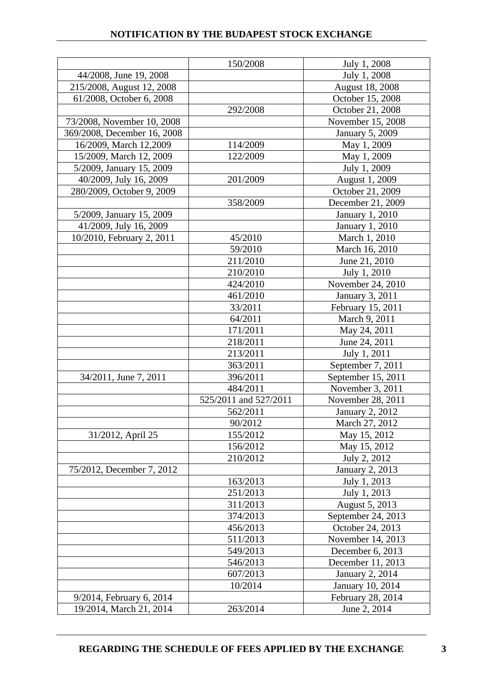|                             | 150/2008              | July 1, 2008           |
|-----------------------------|-----------------------|------------------------|
| 44/2008, June 19, 2008      |                       | July 1, 2008           |
| 215/2008, August 12, 2008   |                       | August 18, 2008        |
| 61/2008, October 6, 2008    |                       | October 15, 2008       |
|                             | 292/2008              | October 21, 2008       |
| 73/2008, November 10, 2008  |                       | November 15, 2008      |
| 369/2008, December 16, 2008 |                       | <b>January 5, 2009</b> |
| 16/2009, March 12,2009      | 114/2009              | May 1, 2009            |
| 15/2009, March 12, 2009     | 122/2009              | May 1, 2009            |
| 5/2009, January 15, 2009    |                       | July 1, 2009           |
| 40/2009, July 16, 2009      | 201/2009              | August 1, 2009         |
| 280/2009, October 9, 2009   |                       | October 21, 2009       |
|                             | 358/2009              | December 21, 2009      |
| 5/2009, January 15, 2009    |                       | January 1, 2010        |
| 41/2009, July 16, 2009      |                       | <b>January 1, 2010</b> |
| 10/2010, February 2, 2011   | 45/2010               | March 1, 2010          |
|                             | 59/2010               | March 16, 2010         |
|                             | 211/2010              | June 21, 2010          |
|                             | 210/2010              | July 1, 2010           |
|                             | 424/2010              | November 24, 2010      |
|                             | 461/2010              | January 3, 2011        |
|                             | 33/2011               | February 15, 2011      |
|                             | 64/2011               | March 9, 2011          |
|                             | 171/2011              | May 24, 2011           |
|                             | 218/2011              | June 24, 2011          |
|                             | 213/2011              | July 1, 2011           |
|                             | 363/2011              | September 7, 2011      |
| 34/2011, June 7, 2011       | 396/2011              | September 15, 2011     |
|                             | 484/2011              | November 3, 2011       |
|                             | 525/2011 and 527/2011 | November 28, 2011      |
|                             | 562/2011              | January 2, 2012        |
|                             | 90/2012               | March 27, 2012         |
| 31/2012, April 25           | 155/2012              | May 15, 2012           |
|                             | 156/2012              | May 15, 2012           |
|                             | 210/2012              | July 2, 2012           |
| 75/2012, December 7, 2012   |                       | <b>January 2, 2013</b> |
|                             | 163/2013              | July 1, 2013           |
|                             | 251/2013              | July 1, 2013           |
|                             | 311/2013              | August 5, 2013         |
|                             | 374/2013              | September 24, 2013     |
|                             | 456/2013              | October 24, 2013       |
|                             | 511/2013              | November 14, 2013      |
|                             | 549/2013              | December 6, 2013       |
|                             | 546/2013              | December 11, 2013      |
|                             | 607/2013              | January 2, 2014        |
|                             | 10/2014               | January 10, 2014       |
| 9/2014, February 6, 2014    |                       | February 28, 2014      |
| 19/2014, March 21, 2014     | 263/2014              | June 2, 2014           |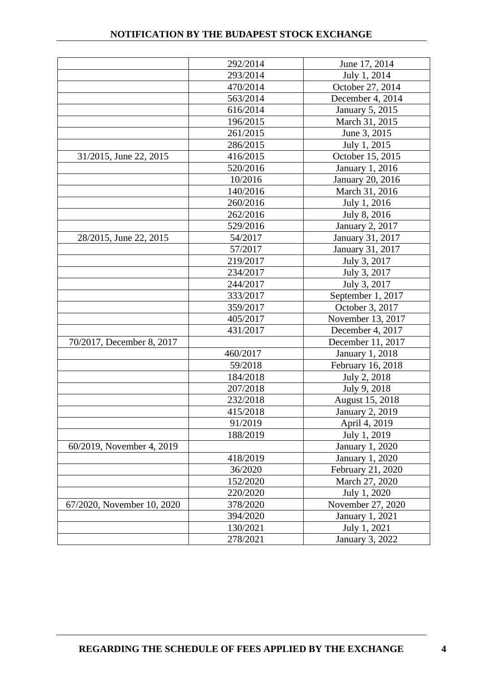|                            | 292/2014 | June 17, 2014          |
|----------------------------|----------|------------------------|
|                            | 293/2014 | July 1, 2014           |
|                            | 470/2014 | October 27, 2014       |
|                            | 563/2014 | December 4, 2014       |
|                            | 616/2014 | January 5, 2015        |
|                            | 196/2015 | March 31, 2015         |
|                            | 261/2015 | June 3, 2015           |
|                            | 286/2015 | July 1, 2015           |
| 31/2015, June 22, 2015     | 416/2015 | October 15, 2015       |
|                            | 520/2016 | January 1, 2016        |
|                            | 10/2016  | January 20, 2016       |
|                            | 140/2016 | March 31, 2016         |
|                            | 260/2016 | July 1, 2016           |
|                            | 262/2016 | July 8, 2016           |
|                            | 529/2016 | <b>January 2, 2017</b> |
| 28/2015, June 22, 2015     | 54/2017  | January 31, 2017       |
|                            | 57/2017  | January 31, 2017       |
|                            | 219/2017 | July 3, 2017           |
|                            | 234/2017 | July 3, 2017           |
|                            | 244/2017 | July 3, 2017           |
|                            | 333/2017 | September 1, 2017      |
|                            | 359/2017 | October 3, 2017        |
|                            | 405/2017 | November 13, 2017      |
|                            | 431/2017 | December 4, 2017       |
| 70/2017, December 8, 2017  |          | December 11, 2017      |
|                            | 460/2017 | January 1, 2018        |
|                            | 59/2018  | February 16, 2018      |
|                            | 184/2018 | July 2, 2018           |
|                            | 207/2018 | July 9, 2018           |
|                            | 232/2018 | August 15, 2018        |
|                            | 415/2018 | <b>January 2, 2019</b> |
|                            | 91/2019  | April 4, 2019          |
|                            | 188/2019 | July 1, 2019           |
| 60/2019, November 4, 2019  |          | January 1, 2020        |
|                            | 418/2019 | January 1, 2020        |
|                            | 36/2020  | February 21, 2020      |
|                            | 152/2020 | March 27, 2020         |
|                            | 220/2020 | July 1, 2020           |
| 67/2020, November 10, 2020 | 378/2020 | November 27, 2020      |
|                            | 394/2020 | January 1, 2021        |
|                            | 130/2021 | July 1, 2021           |
|                            | 278/2021 | January 3, 2022        |
|                            |          |                        |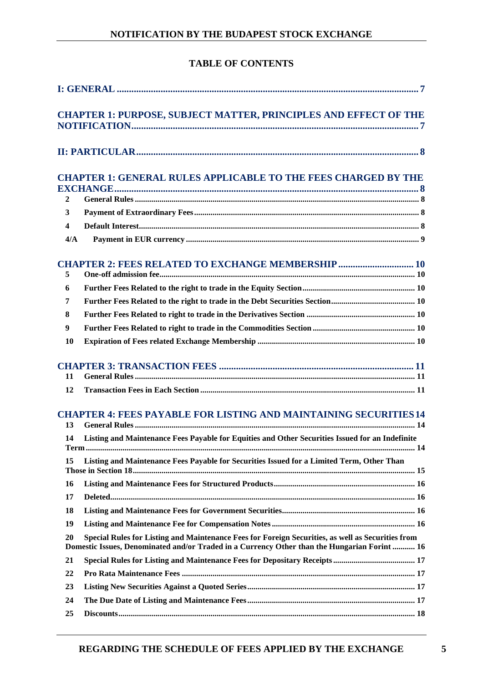## **TABLE OF CONTENTS**

|                         | <b>CHAPTER 1: PURPOSE, SUBJECT MATTER, PRINCIPLES AND EFFECT OF THE</b>                                                                                                                           |  |
|-------------------------|---------------------------------------------------------------------------------------------------------------------------------------------------------------------------------------------------|--|
|                         |                                                                                                                                                                                                   |  |
|                         | <b>CHAPTER 1: GENERAL RULES APPLICABLE TO THE FEES CHARGED BY THE</b>                                                                                                                             |  |
|                         |                                                                                                                                                                                                   |  |
| $\mathbf{2}$            |                                                                                                                                                                                                   |  |
| $\mathbf{3}$            |                                                                                                                                                                                                   |  |
| $\overline{\mathbf{4}}$ |                                                                                                                                                                                                   |  |
| 4/A                     |                                                                                                                                                                                                   |  |
| 5                       | <b>CHAPTER 2: FEES RELATED TO EXCHANGE MEMBERSHIP  10</b>                                                                                                                                         |  |
| 6                       |                                                                                                                                                                                                   |  |
| 7                       |                                                                                                                                                                                                   |  |
| 8                       |                                                                                                                                                                                                   |  |
| $\boldsymbol{9}$        |                                                                                                                                                                                                   |  |
| 10                      |                                                                                                                                                                                                   |  |
| 11<br>12                |                                                                                                                                                                                                   |  |
| 13<br>14                | <b>CHAPTER 4: FEES PAYABLE FOR LISTING AND MAINTAINING SECURITIES 14</b><br>Listing and Maintenance Fees Payable for Equities and Other Securities Issued for an Indefinite                       |  |
| Term                    | . 14                                                                                                                                                                                              |  |
| 15                      | Listing and Maintenance Fees Payable for Securities Issued for a Limited Term, Other Than                                                                                                         |  |
| 16                      |                                                                                                                                                                                                   |  |
| 17                      |                                                                                                                                                                                                   |  |
| 18                      |                                                                                                                                                                                                   |  |
| 19                      |                                                                                                                                                                                                   |  |
| 20                      | Special Rules for Listing and Maintenance Fees for Foreign Securities, as well as Securities from<br>Domestic Issues, Denominated and/or Traded in a Currency Other than the Hungarian Forint  16 |  |
| 21                      |                                                                                                                                                                                                   |  |
| 22                      |                                                                                                                                                                                                   |  |
| 23                      |                                                                                                                                                                                                   |  |
| 24                      |                                                                                                                                                                                                   |  |
| 25                      |                                                                                                                                                                                                   |  |
|                         |                                                                                                                                                                                                   |  |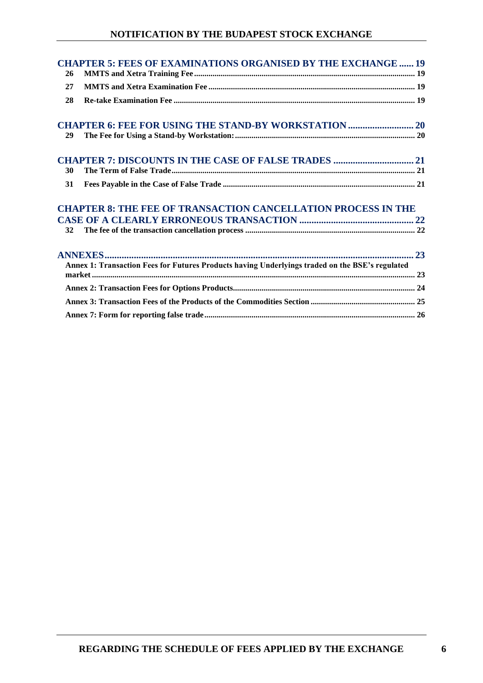## **NOTIFICATION BY THE BUDAPEST STOCK EXCHANGE**

|    | <b>CHAPTER 5: FEES OF EXAMINATIONS ORGANISED BY THE EXCHANGE  19</b>                            |
|----|-------------------------------------------------------------------------------------------------|
| 26 |                                                                                                 |
| 27 |                                                                                                 |
| 28 |                                                                                                 |
|    | <b>CHAPTER 6: FEE FOR USING THE STAND-BY WORKSTATION  20</b>                                    |
| 29 |                                                                                                 |
|    |                                                                                                 |
| 30 |                                                                                                 |
| 31 |                                                                                                 |
|    | <b>CHAPTER 8: THE FEE OF TRANSACTION CANCELLATION PROCESS IN THE</b>                            |
|    |                                                                                                 |
| 32 |                                                                                                 |
|    |                                                                                                 |
|    | Annex 1: Transaction Fees for Futures Products having Underlyings traded on the BSE's regulated |
|    |                                                                                                 |
|    |                                                                                                 |
|    |                                                                                                 |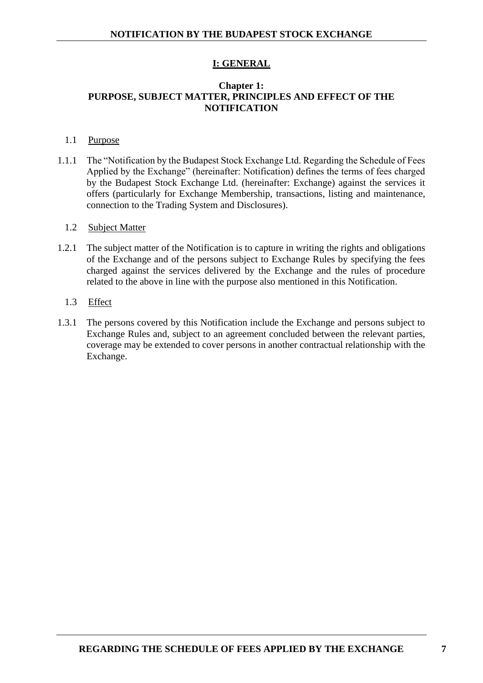## **I: GENERAL**

## <span id="page-6-1"></span><span id="page-6-0"></span>**Chapter 1: PURPOSE, SUBJECT MATTER, PRINCIPLES AND EFFECT OF THE NOTIFICATION**

#### 1.1 Purpose

1.1.1 The "Notification by the Budapest Stock Exchange Ltd. Regarding the Schedule of Fees Applied by the Exchange" (hereinafter: Notification) defines the terms of fees charged by the Budapest Stock Exchange Ltd. (hereinafter: Exchange) against the services it offers (particularly for Exchange Membership, transactions, listing and maintenance, connection to the Trading System and Disclosures).

#### 1.2 Subject Matter

- 1.2.1 The subject matter of the Notification is to capture in writing the rights and obligations of the Exchange and of the persons subject to Exchange Rules by specifying the fees charged against the services delivered by the Exchange and the rules of procedure related to the above in line with the purpose also mentioned in this Notification.
	- 1.3 Effect
- 1.3.1 The persons covered by this Notification include the Exchange and persons subject to Exchange Rules and, subject to an agreement concluded between the relevant parties, coverage may be extended to cover persons in another contractual relationship with the Exchange.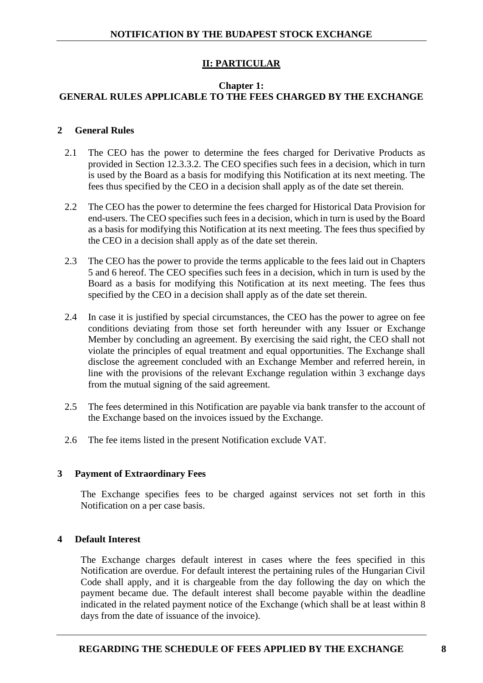## **II: PARTICULAR**

## <span id="page-7-1"></span><span id="page-7-0"></span>**Chapter 1: GENERAL RULES APPLICABLE TO THE FEES CHARGED BY THE EXCHANGE**

## <span id="page-7-2"></span>**2 General Rules**

- 2.1 The CEO has the power to determine the fees charged for Derivative Products as provided in Section 12.3.3.2. The CEO specifies such fees in a decision, which in turn is used by the Board as a basis for modifying this Notification at its next meeting. The fees thus specified by the CEO in a decision shall apply as of the date set therein.
- 2.2 The CEO has the power to determine the fees charged for Historical Data Provision for end-users. The CEO specifies such fees in a decision, which in turn is used by the Board as a basis for modifying this Notification at its next meeting. The fees thus specified by the CEO in a decision shall apply as of the date set therein.
- 2.3 The CEO has the power to provide the terms applicable to the fees laid out in Chapters 5 and 6 hereof. The CEO specifies such fees in a decision, which in turn is used by the Board as a basis for modifying this Notification at its next meeting. The fees thus specified by the CEO in a decision shall apply as of the date set therein.
- 2.4 In case it is justified by special circumstances, the CEO has the power to agree on fee conditions deviating from those set forth hereunder with any Issuer or Exchange Member by concluding an agreement. By exercising the said right, the CEO shall not violate the principles of equal treatment and equal opportunities. The Exchange shall disclose the agreement concluded with an Exchange Member and referred herein, in line with the provisions of the relevant Exchange regulation within 3 exchange days from the mutual signing of the said agreement.
- 2.5 The fees determined in this Notification are payable via bank transfer to the account of the Exchange based on the invoices issued by the Exchange.
- 2.6 The fee items listed in the present Notification exclude VAT.

#### <span id="page-7-3"></span>**3 Payment of Extraordinary Fees**

The Exchange specifies fees to be charged against services not set forth in this Notification on a per case basis.

#### <span id="page-7-4"></span>**4 Default Interest**

The Exchange charges default interest in cases where the fees specified in this Notification are overdue. For default interest the pertaining rules of the Hungarian Civil Code shall apply, and it is chargeable from the day following the day on which the payment became due. The default interest shall become payable within the deadline indicated in the related payment notice of the Exchange (which shall be at least within 8 days from the date of issuance of the invoice).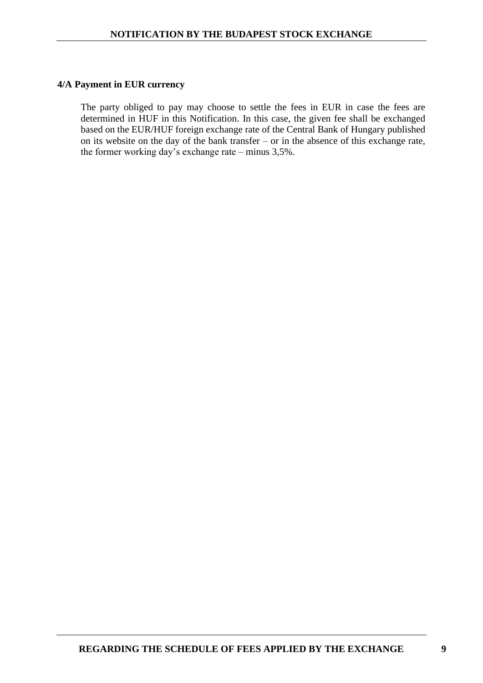#### <span id="page-8-0"></span>**4/A Payment in EUR currency**

The party obliged to pay may choose to settle the fees in EUR in case the fees are determined in HUF in this Notification. In this case, the given fee shall be exchanged based on the EUR/HUF foreign exchange rate of the Central Bank of Hungary published on its website on the day of the bank transfer – or in the absence of this exchange rate, the former working day's exchange rate – minus 3,5%.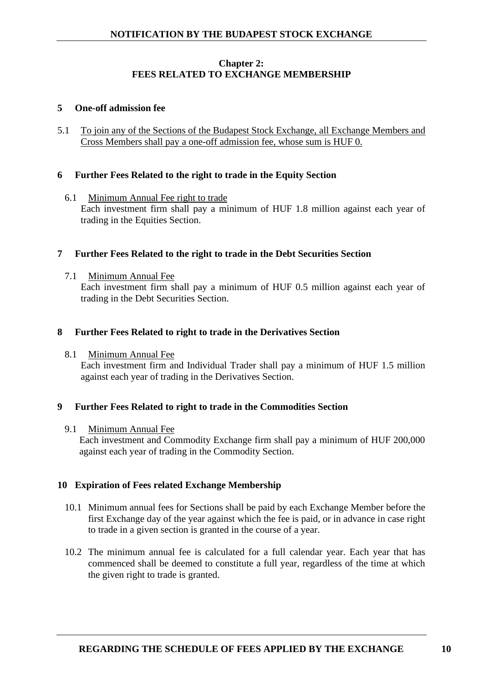## **Chapter 2: FEES RELATED TO EXCHANGE MEMBERSHIP**

#### <span id="page-9-1"></span><span id="page-9-0"></span>**5 One-off admission fee**

5.1 To join any of the Sections of the Budapest Stock Exchange, all Exchange Members and Cross Members shall pay a one-off admission fee, whose sum is HUF 0.

#### <span id="page-9-2"></span>**6 Further Fees Related to the right to trade in the Equity Section**

6.1 Minimum Annual Fee right to trade Each investment firm shall pay a minimum of HUF 1.8 million against each year of trading in the Equities Section.

#### <span id="page-9-3"></span>**7 Further Fees Related to the right to trade in the Debt Securities Section**

7.1 Minimum Annual Fee

Each investment firm shall pay a minimum of HUF 0.5 million against each year of trading in the Debt Securities Section.

#### <span id="page-9-4"></span>**8 Further Fees Related to right to trade in the Derivatives Section**

8.1 Minimum Annual Fee

Each investment firm and Individual Trader shall pay a minimum of HUF 1.5 million against each year of trading in the Derivatives Section.

#### <span id="page-9-5"></span>**9 Further Fees Related to right to trade in the Commodities Section**

#### 9.1 Minimum Annual Fee

Each investment and Commodity Exchange firm shall pay a minimum of HUF 200,000 against each year of trading in the Commodity Section.

#### <span id="page-9-6"></span>**10 Expiration of Fees related Exchange Membership**

- 10.1 Minimum annual fees for Sections shall be paid by each Exchange Member before the first Exchange day of the year against which the fee is paid, or in advance in case right to trade in a given section is granted in the course of a year.
- 10.2 The minimum annual fee is calculated for a full calendar year. Each year that has commenced shall be deemed to constitute a full year, regardless of the time at which the given right to trade is granted.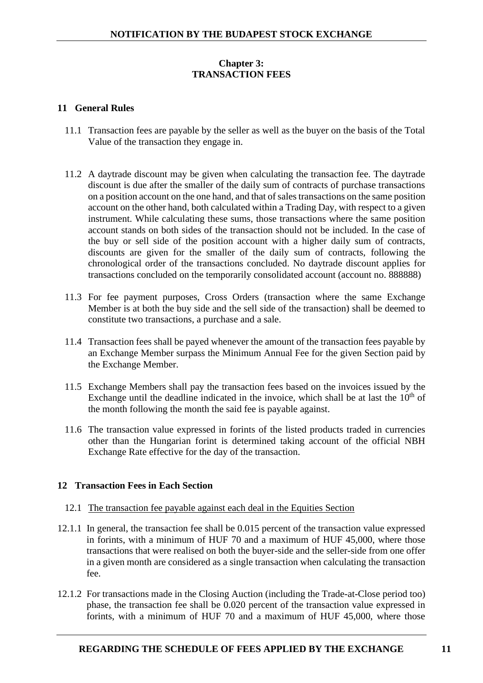## **Chapter 3: TRANSACTION FEES**

#### <span id="page-10-1"></span><span id="page-10-0"></span>**11 General Rules**

- 11.1 Transaction fees are payable by the seller as well as the buyer on the basis of the Total Value of the transaction they engage in.
- 11.2 A daytrade discount may be given when calculating the transaction fee. The daytrade discount is due after the smaller of the daily sum of contracts of purchase transactions on a position account on the one hand, and that of sales transactions on the same position account on the other hand, both calculated within a Trading Day, with respect to a given instrument. While calculating these sums, those transactions where the same position account stands on both sides of the transaction should not be included. In the case of the buy or sell side of the position account with a higher daily sum of contracts, discounts are given for the smaller of the daily sum of contracts, following the chronological order of the transactions concluded. No daytrade discount applies for transactions concluded on the temporarily consolidated account (account no. 888888)
- 11.3 For fee payment purposes, Cross Orders (transaction where the same Exchange Member is at both the buy side and the sell side of the transaction) shall be deemed to constitute two transactions, a purchase and a sale.
- 11.4 Transaction fees shall be payed whenever the amount of the transaction fees payable by an Exchange Member surpass the Minimum Annual Fee for the given Section paid by the Exchange Member.
- 11.5 Exchange Members shall pay the transaction fees based on the invoices issued by the Exchange until the deadline indicated in the invoice, which shall be at last the  $10<sup>th</sup>$  of the month following the month the said fee is payable against.
- 11.6 The transaction value expressed in forints of the listed products traded in currencies other than the Hungarian forint is determined taking account of the official NBH Exchange Rate effective for the day of the transaction.

## <span id="page-10-2"></span>**12 Transaction Fees in Each Section**

#### 12.1 The transaction fee payable against each deal in the Equities Section

- 12.1.1 In general, the transaction fee shall be 0.015 percent of the transaction value expressed in forints, with a minimum of HUF 70 and a maximum of HUF 45,000, where those transactions that were realised on both the buyer-side and the seller-side from one offer in a given month are considered as a single transaction when calculating the transaction fee.
- 12.1.2 For transactions made in the Closing Auction (including the Trade-at-Close period too) phase, the transaction fee shall be 0.020 percent of the transaction value expressed in forints, with a minimum of HUF 70 and a maximum of HUF 45,000, where those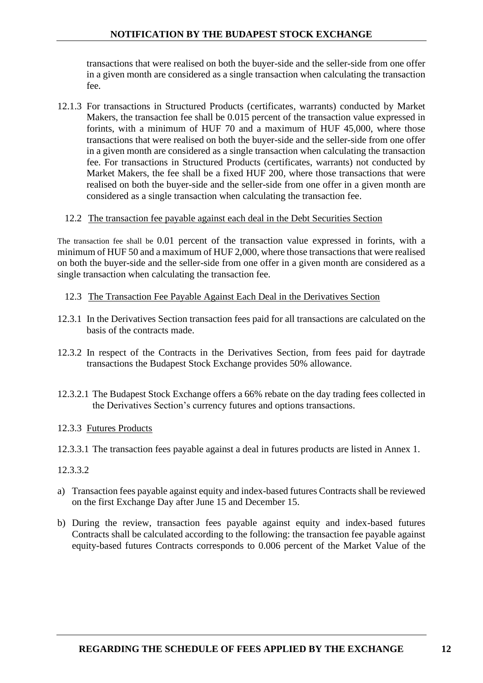transactions that were realised on both the buyer-side and the seller-side from one offer in a given month are considered as a single transaction when calculating the transaction fee.

12.1.3 For transactions in Structured Products (certificates, warrants) conducted by Market Makers, the transaction fee shall be 0.015 percent of the transaction value expressed in forints, with a minimum of HUF 70 and a maximum of HUF 45,000, where those transactions that were realised on both the buyer-side and the seller-side from one offer in a given month are considered as a single transaction when calculating the transaction fee. For transactions in Structured Products (certificates, warrants) not conducted by Market Makers, the fee shall be a fixed HUF 200, where those transactions that were realised on both the buyer-side and the seller-side from one offer in a given month are considered as a single transaction when calculating the transaction fee.

## 12.2 The transaction fee payable against each deal in the Debt Securities Section

The transaction fee shall be 0.01 percent of the transaction value expressed in forints, with a minimum of HUF 50 and a maximum of HUF 2,000, where those transactions that were realised on both the buyer-side and the seller-side from one offer in a given month are considered as a single transaction when calculating the transaction fee.

## 12.3 The Transaction Fee Payable Against Each Deal in the Derivatives Section

- 12.3.1 In the Derivatives Section transaction fees paid for all transactions are calculated on the basis of the contracts made.
- 12.3.2 In respect of the Contracts in the Derivatives Section, from fees paid for daytrade transactions the Budapest Stock Exchange provides 50% allowance.
- 12.3.2.1 The Budapest Stock Exchange offers a 66% rebate on the day trading fees collected in the Derivatives Section's currency futures and options transactions.

## 12.3.3 Futures Products

12.3.3.1 The transaction fees payable against a deal in futures products are listed in Annex 1.

## 12.3.3.2

- a) Transaction fees payable against equity and index-based futures Contracts shall be reviewed on the first Exchange Day after June 15 and December 15.
- b) During the review, transaction fees payable against equity and index-based futures Contracts shall be calculated according to the following: the transaction fee payable against equity-based futures Contracts corresponds to 0.006 percent of the Market Value of the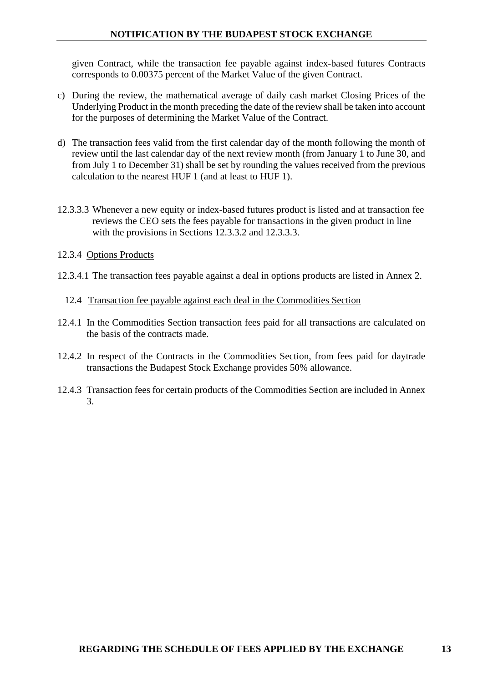## **NOTIFICATION BY THE BUDAPEST STOCK EXCHANGE**

given Contract, while the transaction fee payable against index-based futures Contracts corresponds to 0.00375 percent of the Market Value of the given Contract.

- c) During the review, the mathematical average of daily cash market Closing Prices of the Underlying Product in the month preceding the date of the review shall be taken into account for the purposes of determining the Market Value of the Contract.
- d) The transaction fees valid from the first calendar day of the month following the month of review until the last calendar day of the next review month (from January 1 to June 30, and from July 1 to December 31) shall be set by rounding the values received from the previous calculation to the nearest HUF 1 (and at least to HUF 1).
- 12.3.3.3 Whenever a new equity or index-based futures product is listed and at transaction fee reviews the CEO sets the fees payable for transactions in the given product in line with the provisions in Sections 12.3.3.2 and 12.3.3.3.
- 12.3.4 Options Products
- 12.3.4.1 The transaction fees payable against a deal in options products are listed in Annex 2.
	- 12.4 Transaction fee payable against each deal in the Commodities Section
- 12.4.1 In the Commodities Section transaction fees paid for all transactions are calculated on the basis of the contracts made.
- 12.4.2 In respect of the Contracts in the Commodities Section, from fees paid for daytrade transactions the Budapest Stock Exchange provides 50% allowance.
- 12.4.3 Transaction fees for certain products of the Commodities Section are included in Annex 3.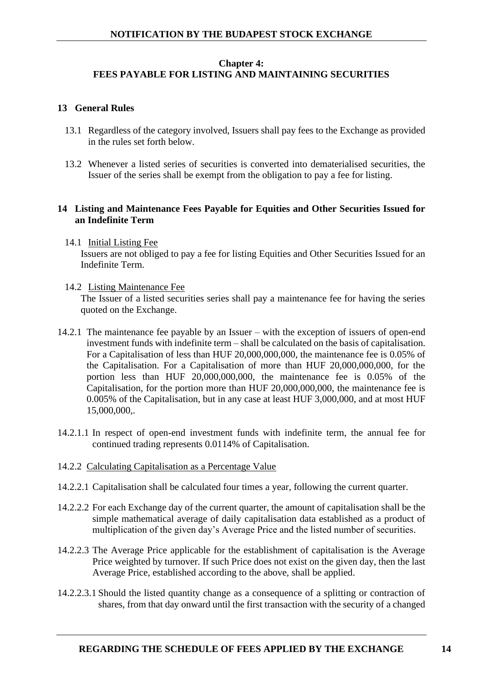## <span id="page-13-0"></span>**Chapter 4: FEES PAYABLE FOR LISTING AND MAINTAINING SECURITIES**

#### <span id="page-13-1"></span>**13 General Rules**

- 13.1 Regardless of the category involved, Issuers shall pay fees to the Exchange as provided in the rules set forth below.
- 13.2 Whenever a listed series of securities is converted into dematerialised securities, the Issuer of the series shall be exempt from the obligation to pay a fee for listing.

## <span id="page-13-2"></span>**14 Listing and Maintenance Fees Payable for Equities and Other Securities Issued for an Indefinite Term**

- 14.1 Initial Listing Fee Issuers are not obliged to pay a fee for listing Equities and Other Securities Issued for an Indefinite Term.
- 14.2 Listing Maintenance Fee

The Issuer of a listed securities series shall pay a maintenance fee for having the series quoted on the Exchange.

- 14.2.1 The maintenance fee payable by an Issuer with the exception of issuers of open-end investment funds with indefinite term – shall be calculated on the basis of capitalisation. For a Capitalisation of less than HUF 20,000,000,000, the maintenance fee is 0.05% of the Capitalisation. For a Capitalisation of more than HUF 20,000,000,000, for the portion less than HUF 20,000,000,000, the maintenance fee is 0.05% of the Capitalisation, for the portion more than HUF 20,000,000,000, the maintenance fee is 0.005% of the Capitalisation, but in any case at least HUF 3,000,000, and at most HUF 15,000,000,.
- 14.2.1.1 In respect of open-end investment funds with indefinite term, the annual fee for continued trading represents 0.0114% of Capitalisation.
- 14.2.2 Calculating Capitalisation as a Percentage Value
- 14.2.2.1 Capitalisation shall be calculated four times a year, following the current quarter.
- 14.2.2.2 For each Exchange day of the current quarter, the amount of capitalisation shall be the simple mathematical average of daily capitalisation data established as a product of multiplication of the given day's Average Price and the listed number of securities.
- 14.2.2.3 The Average Price applicable for the establishment of capitalisation is the Average Price weighted by turnover. If such Price does not exist on the given day, then the last Average Price, established according to the above, shall be applied.
- 14.2.2.3.1 Should the listed quantity change as a consequence of a splitting or contraction of shares, from that day onward until the first transaction with the security of a changed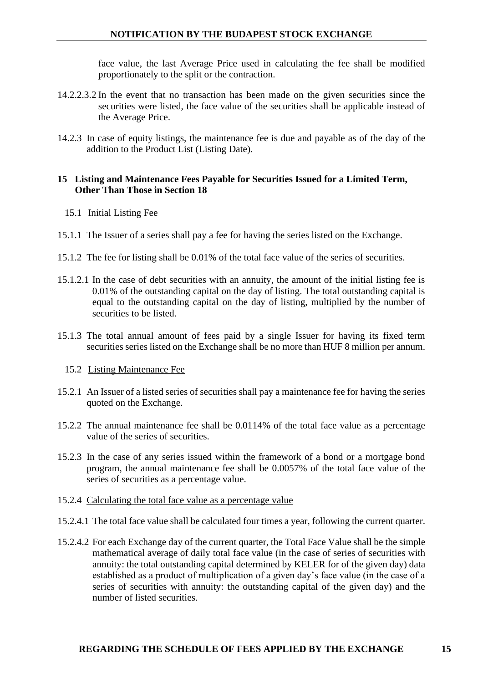face value, the last Average Price used in calculating the fee shall be modified proportionately to the split or the contraction.

- 14.2.2.3.2 In the event that no transaction has been made on the given securities since the securities were listed, the face value of the securities shall be applicable instead of the Average Price.
- 14.2.3 In case of equity listings, the maintenance fee is due and payable as of the day of the addition to the Product List (Listing Date).

## <span id="page-14-0"></span>**15 Listing and Maintenance Fees Payable for Securities Issued for a Limited Term, Other Than Those in Section 18**

- 15.1 Initial Listing Fee
- 15.1.1 The Issuer of a series shall pay a fee for having the series listed on the Exchange.
- 15.1.2 The fee for listing shall be 0.01% of the total face value of the series of securities.
- 15.1.2.1 In the case of debt securities with an annuity, the amount of the initial listing fee is 0.01% of the outstanding capital on the day of listing. The total outstanding capital is equal to the outstanding capital on the day of listing, multiplied by the number of securities to be listed.
- 15.1.3 The total annual amount of fees paid by a single Issuer for having its fixed term securities series listed on the Exchange shall be no more than HUF 8 million per annum.
	- 15.2 Listing Maintenance Fee
- 15.2.1 An Issuer of a listed series of securities shall pay a maintenance fee for having the series quoted on the Exchange.
- 15.2.2 The annual maintenance fee shall be 0.0114% of the total face value as a percentage value of the series of securities.
- 15.2.3 In the case of any series issued within the framework of a bond or a mortgage bond program, the annual maintenance fee shall be 0.0057% of the total face value of the series of securities as a percentage value.
- 15.2.4 Calculating the total face value as a percentage value
- 15.2.4.1 The total face value shall be calculated four times a year, following the current quarter.
- 15.2.4.2 For each Exchange day of the current quarter, the Total Face Value shall be the simple mathematical average of daily total face value (in the case of series of securities with annuity: the total outstanding capital determined by KELER for of the given day) data established as a product of multiplication of a given day's face value (in the case of a series of securities with annuity: the outstanding capital of the given day) and the number of listed securities.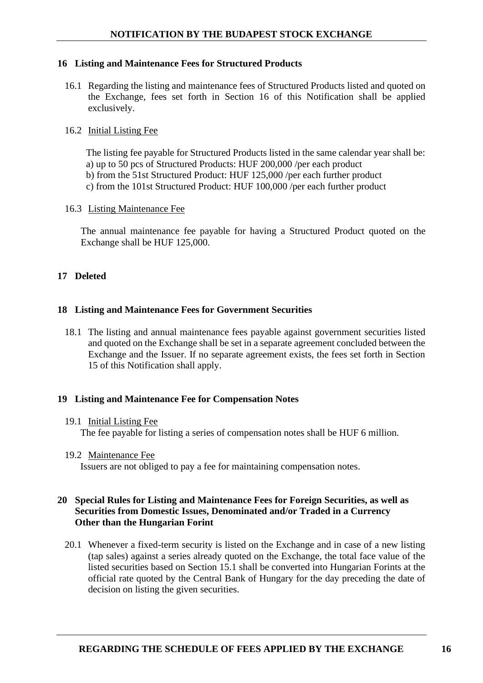## <span id="page-15-0"></span>**16 Listing and Maintenance Fees for Structured Products**

16.1 Regarding the listing and maintenance fees of Structured Products listed and quoted on the Exchange, fees set forth in Section 16 of this Notification shall be applied exclusively.

## 16.2 Initial Listing Fee

The listing fee payable for Structured Products listed in the same calendar year shall be: a) up to 50 pcs of Structured Products: HUF 200,000 /per each product b) from the 51st Structured Product: HUF 125,000 /per each further product c) from the 101st Structured Product: HUF 100,000 /per each further product

## 16.3 Listing Maintenance Fee

The annual maintenance fee payable for having a Structured Product quoted on the Exchange shall be HUF 125,000.

## <span id="page-15-1"></span>**17 Deleted**

## <span id="page-15-2"></span>**18 Listing and Maintenance Fees for Government Securities**

18.1 The listing and annual maintenance fees payable against government securities listed and quoted on the Exchange shall be set in a separate agreement concluded between the Exchange and the Issuer. If no separate agreement exists, the fees set forth in Section 15 of this Notification shall apply.

## <span id="page-15-3"></span>**19 Listing and Maintenance Fee for Compensation Notes**

#### 19.1 Initial Listing Fee

The fee payable for listing a series of compensation notes shall be HUF 6 million.

19.2 Maintenance Fee

Issuers are not obliged to pay a fee for maintaining compensation notes.

## <span id="page-15-4"></span>**20 Special Rules for Listing and Maintenance Fees for Foreign Securities, as well as Securities from Domestic Issues, Denominated and/or Traded in a Currency Other than the Hungarian Forint**

20.1 Whenever a fixed-term security is listed on the Exchange and in case of a new listing (tap sales) against a series already quoted on the Exchange, the total face value of the listed securities based on Section 15.1 shall be converted into Hungarian Forints at the official rate quoted by the Central Bank of Hungary for the day preceding the date of decision on listing the given securities.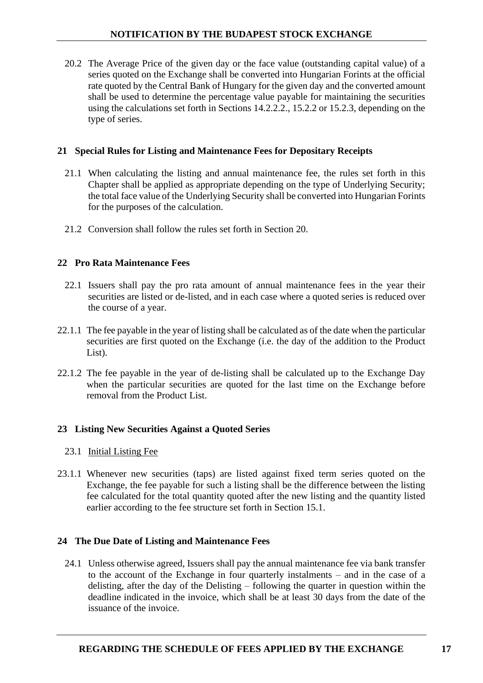20.2 The Average Price of the given day or the face value (outstanding capital value) of a series quoted on the Exchange shall be converted into Hungarian Forints at the official rate quoted by the Central Bank of Hungary for the given day and the converted amount shall be used to determine the percentage value payable for maintaining the securities using the calculations set forth in Sections 14.2.2.2., 15.2.2 or 15.2.3, depending on the type of series.

## <span id="page-16-0"></span>**21 Special Rules for Listing and Maintenance Fees for Depositary Receipts**

- 21.1 When calculating the listing and annual maintenance fee, the rules set forth in this Chapter shall be applied as appropriate depending on the type of Underlying Security; the total face value of the Underlying Security shall be converted into Hungarian Forints for the purposes of the calculation.
- 21.2 Conversion shall follow the rules set forth in Section [20.](#page-15-4)

## <span id="page-16-1"></span>**22 Pro Rata Maintenance Fees**

- 22.1 Issuers shall pay the pro rata amount of annual maintenance fees in the year their securities are listed or de-listed, and in each case where a quoted series is reduced over the course of a year.
- 22.1.1 The fee payable in the year of listing shall be calculated as of the date when the particular securities are first quoted on the Exchange (i.e. the day of the addition to the Product List).
- 22.1.2 The fee payable in the year of de-listing shall be calculated up to the Exchange Day when the particular securities are quoted for the last time on the Exchange before removal from the Product List.

## <span id="page-16-2"></span>**23 Listing New Securities Against a Quoted Series**

- 23.1 Initial Listing Fee
- 23.1.1 Whenever new securities (taps) are listed against fixed term series quoted on the Exchange, the fee payable for such a listing shall be the difference between the listing fee calculated for the total quantity quoted after the new listing and the quantity listed earlier according to the fee structure set forth in Section 15.1.

#### <span id="page-16-3"></span>**24 The Due Date of Listing and Maintenance Fees**

24.1 Unless otherwise agreed, Issuers shall pay the annual maintenance fee via bank transfer to the account of the Exchange in four quarterly instalments – and in the case of a delisting, after the day of the Delisting – following the quarter in question within the deadline indicated in the invoice, which shall be at least 30 days from the date of the issuance of the invoice.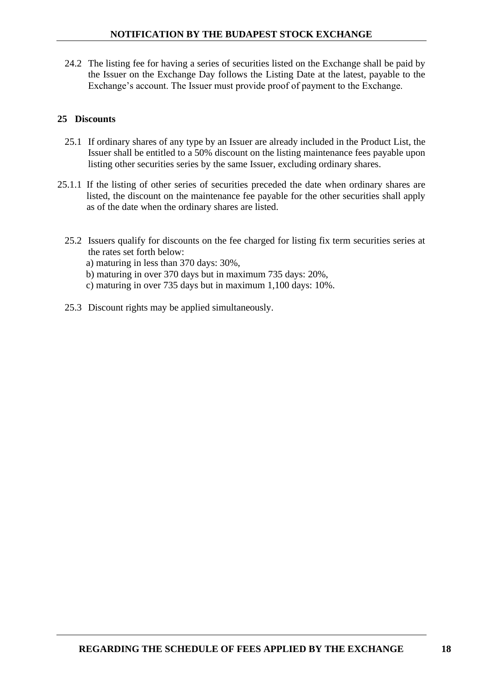24.2 The listing fee for having a series of securities listed on the Exchange shall be paid by the Issuer on the Exchange Day follows the Listing Date at the latest, payable to the Exchange's account. The Issuer must provide proof of payment to the Exchange.

## <span id="page-17-0"></span>**25 Discounts**

- 25.1 If ordinary shares of any type by an Issuer are already included in the Product List, the Issuer shall be entitled to a 50% discount on the listing maintenance fees payable upon listing other securities series by the same Issuer, excluding ordinary shares.
- 25.1.1 If the listing of other series of securities preceded the date when ordinary shares are listed, the discount on the maintenance fee payable for the other securities shall apply as of the date when the ordinary shares are listed.
	- 25.2 Issuers qualify for discounts on the fee charged for listing fix term securities series at the rates set forth below:
		- a) maturing in less than 370 days: 30%,
		- b) maturing in over 370 days but in maximum 735 days: 20%,
		- c) maturing in over 735 days but in maximum 1,100 days: 10%.
	- 25.3 Discount rights may be applied simultaneously.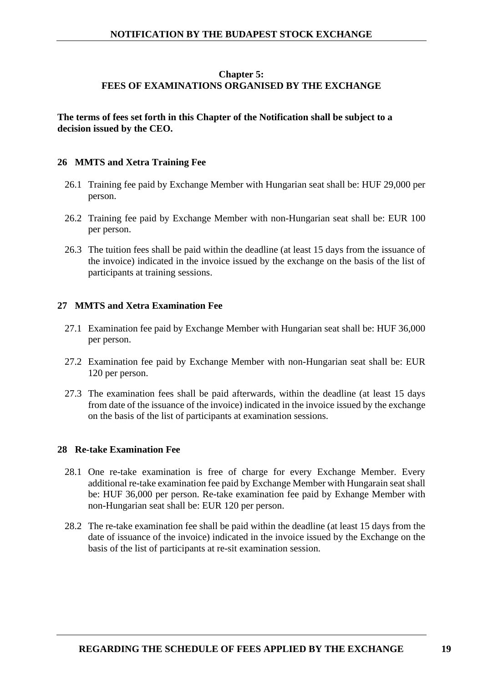## **Chapter 5: FEES OF EXAMINATIONS ORGANISED BY THE EXCHANGE**

## <span id="page-18-0"></span>**The terms of fees set forth in this Chapter of the Notification shall be subject to a decision issued by the CEO.**

## <span id="page-18-1"></span>**26 MMTS and Xetra Training Fee**

- 26.1 Training fee paid by Exchange Member with Hungarian seat shall be: HUF 29,000 per person.
- 26.2 Training fee paid by Exchange Member with non-Hungarian seat shall be: EUR 100 per person.
- 26.3 The tuition fees shall be paid within the deadline (at least 15 days from the issuance of the invoice) indicated in the invoice issued by the exchange on the basis of the list of participants at training sessions.

## <span id="page-18-2"></span>**27 MMTS and Xetra Examination Fee**

- 27.1 Examination fee paid by Exchange Member with Hungarian seat shall be: HUF 36,000 per person.
- 27.2 Examination fee paid by Exchange Member with non-Hungarian seat shall be: EUR 120 per person.
- 27.3 The examination fees shall be paid afterwards, within the deadline (at least 15 days from date of the issuance of the invoice) indicated in the invoice issued by the exchange on the basis of the list of participants at examination sessions.

#### <span id="page-18-3"></span>**28 Re-take Examination Fee**

- 28.1 One re-take examination is free of charge for every Exchange Member. Every additional re-take examination fee paid by Exchange Member with Hungarain seat shall be: HUF 36,000 per person. Re-take examination fee paid by Exhange Member with non-Hungarian seat shall be: EUR 120 per person.
- 28.2 The re-take examination fee shall be paid within the deadline (at least 15 days from the date of issuance of the invoice) indicated in the invoice issued by the Exchange on the basis of the list of participants at re-sit examination session.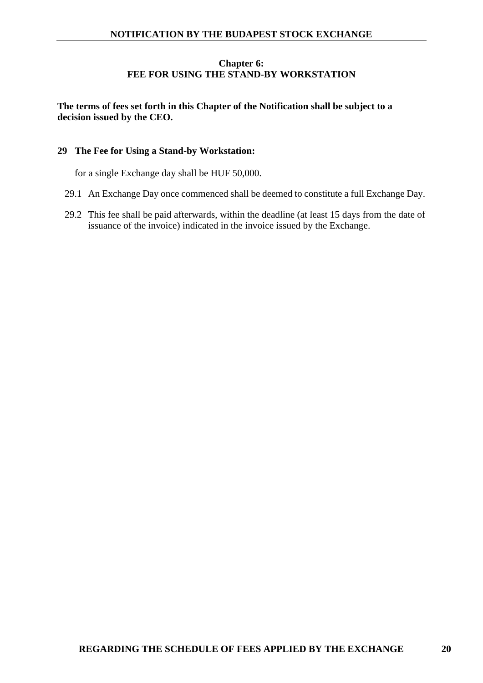## **Chapter 6: FEE FOR USING THE STAND-BY WORKSTATION**

## <span id="page-19-0"></span>**The terms of fees set forth in this Chapter of the Notification shall be subject to a decision issued by the CEO.**

## <span id="page-19-1"></span>**29 The Fee for Using a Stand-by Workstation:**

for a single Exchange day shall be HUF 50,000.

- 29.1 An Exchange Day once commenced shall be deemed to constitute a full Exchange Day.
- 29.2 This fee shall be paid afterwards, within the deadline (at least 15 days from the date of issuance of the invoice) indicated in the invoice issued by the Exchange.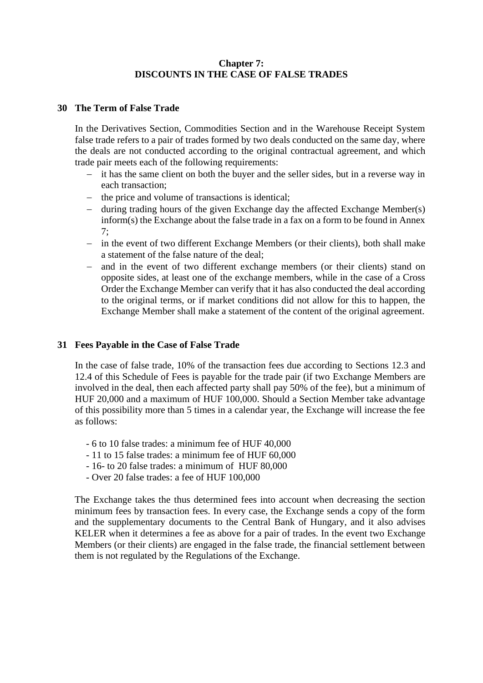## **Chapter 7: DISCOUNTS IN THE CASE OF FALSE TRADES**

#### <span id="page-20-1"></span><span id="page-20-0"></span>**30 The Term of False Trade**

In the Derivatives Section, Commodities Section and in the Warehouse Receipt System false trade refers to a pair of trades formed by two deals conducted on the same day, where the deals are not conducted according to the original contractual agreement, and which trade pair meets each of the following requirements:

- − it has the same client on both the buyer and the seller sides, but in a reverse way in each transaction;
- − the price and volume of transactions is identical;
- − during trading hours of the given Exchange day the affected Exchange Member(s) inform(s) the Exchange about the false trade in a fax on a form to be found in Annex 7;
- − in the event of two different Exchange Members (or their clients), both shall make a statement of the false nature of the deal;
- − and in the event of two different exchange members (or their clients) stand on opposite sides, at least one of the exchange members, while in the case of a Cross Order the Exchange Member can verify that it has also conducted the deal according to the original terms, or if market conditions did not allow for this to happen, the Exchange Member shall make a statement of the content of the original agreement.

#### <span id="page-20-2"></span>**31 Fees Payable in the Case of False Trade**

In the case of false trade, 10% of the transaction fees due according to Sections 12.3 and 12.4 of this Schedule of Fees is payable for the trade pair (if two Exchange Members are involved in the deal, then each affected party shall pay 50% of the fee), but a minimum of HUF 20,000 and a maximum of HUF 100,000. Should a Section Member take advantage of this possibility more than 5 times in a calendar year, the Exchange will increase the fee as follows:

- 6 to 10 false trades: a minimum fee of HUF 40,000
- 11 to 15 false trades: a minimum fee of HUF 60,000
- 16- to 20 false trades: a minimum of HUF 80,000
- Over 20 false trades: a fee of HUF 100,000

The Exchange takes the thus determined fees into account when decreasing the section minimum fees by transaction fees. In every case, the Exchange sends a copy of the form and the supplementary documents to the Central Bank of Hungary, and it also advises KELER when it determines a fee as above for a pair of trades. In the event two Exchange Members (or their clients) are engaged in the false trade, the financial settlement between them is not regulated by the Regulations of the Exchange.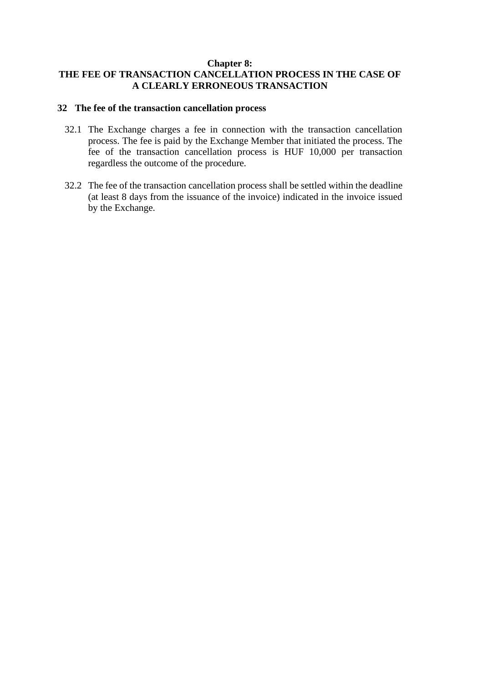#### **Chapter 8:**

## <span id="page-21-0"></span>**THE FEE OF TRANSACTION CANCELLATION PROCESS IN THE CASE OF A CLEARLY ERRONEOUS TRANSACTION**

## <span id="page-21-1"></span>**32 The fee of the transaction cancellation process**

- 32.1 The Exchange charges a fee in connection with the transaction cancellation process. The fee is paid by the Exchange Member that initiated the process. The fee of the transaction cancellation process is HUF 10,000 per transaction regardless the outcome of the procedure.
- 32.2 The fee of the transaction cancellation process shall be settled within the deadline (at least 8 days from the issuance of the invoice) indicated in the invoice issued by the Exchange.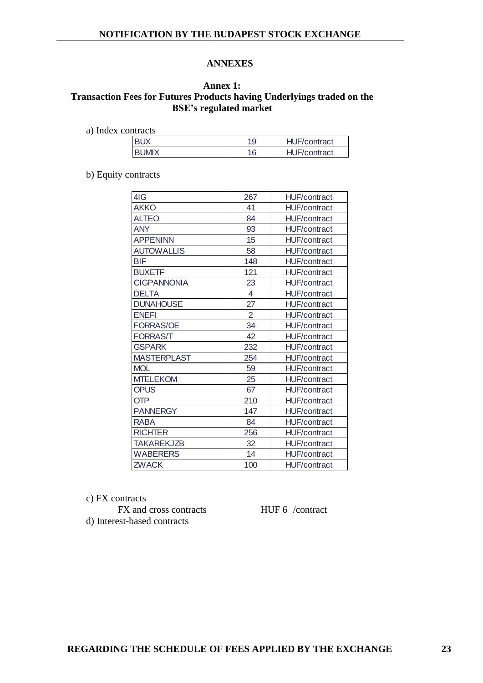#### **ANNEXES**

#### <span id="page-22-1"></span><span id="page-22-0"></span>**Annex 1: Transaction Fees for Futures Products having Underlyings traded on the BSE's regulated market**

| .            |    |                     |
|--------------|----|---------------------|
| <b>RIIX</b>  |    | <b>HUF/contract</b> |
| <b>RUMIX</b> | 16 | <b>HUF/contract</b> |
|              |    |                     |

b) Equity contracts

| 4IG<br>267<br><b>HUF/contract</b><br><b>AKKO</b><br>41<br><b>HUF/contract</b><br><b>ALTEO</b><br>84<br><b>HUF/contract</b><br><b>ANY</b><br>93<br><b>HUF/contract</b><br><b>APPENINN</b><br>15<br><b>HUF/contract</b><br><b>AUTOWALLIS</b><br>58<br><b>HUF/contract</b><br><b>BIF</b><br>148<br><b>HUF/contract</b><br><b>BUXETF</b><br>121<br><b>HUF/contract</b><br><b>CIGPANNONIA</b><br>23<br><b>HUF/contract</b><br>$\overline{4}$<br><b>DELTA</b><br><b>HUF/contract</b><br>27<br><b>DUNAHOUSE</b><br><b>HUF/contract</b><br>$\overline{2}$<br><b>ENEFI</b><br><b>HUF/contract</b><br>34<br><b>FORRAS/OE</b><br><b>HUF/contract</b><br>42<br><b>FORRAS/T</b><br><b>HUF/contract</b><br>232<br><b>GSPARK</b><br><b>HUF/contract</b><br><b>MASTERPLAST</b><br>254<br><b>HUF/contract</b><br><b>MOL</b><br>59<br><b>HUF/contract</b><br><b>MTELEKOM</b><br>25<br><b>HUF/contract</b><br><b>OPUS</b><br>67<br><b>HUF/contract</b><br><b>OTP</b><br>210<br><b>HUF/contract</b><br><b>PANNERGY</b><br>147<br><b>HUF/contract</b><br>84<br><b>RABA</b><br><b>HUF/contract</b><br><b>RICHTER</b><br>256<br><b>HUF/contract</b><br><b>TAKAREKJZB</b><br>32<br><b>HUF/contract</b><br>14<br><b>WABERERS</b><br><b>HUF/contract</b><br><b>ZWACK</b><br>100<br><b>HUF/contract</b> |  |  |
|------------------------------------------------------------------------------------------------------------------------------------------------------------------------------------------------------------------------------------------------------------------------------------------------------------------------------------------------------------------------------------------------------------------------------------------------------------------------------------------------------------------------------------------------------------------------------------------------------------------------------------------------------------------------------------------------------------------------------------------------------------------------------------------------------------------------------------------------------------------------------------------------------------------------------------------------------------------------------------------------------------------------------------------------------------------------------------------------------------------------------------------------------------------------------------------------------------------------------------------------------------------------------|--|--|
|                                                                                                                                                                                                                                                                                                                                                                                                                                                                                                                                                                                                                                                                                                                                                                                                                                                                                                                                                                                                                                                                                                                                                                                                                                                                              |  |  |
|                                                                                                                                                                                                                                                                                                                                                                                                                                                                                                                                                                                                                                                                                                                                                                                                                                                                                                                                                                                                                                                                                                                                                                                                                                                                              |  |  |
|                                                                                                                                                                                                                                                                                                                                                                                                                                                                                                                                                                                                                                                                                                                                                                                                                                                                                                                                                                                                                                                                                                                                                                                                                                                                              |  |  |
|                                                                                                                                                                                                                                                                                                                                                                                                                                                                                                                                                                                                                                                                                                                                                                                                                                                                                                                                                                                                                                                                                                                                                                                                                                                                              |  |  |
|                                                                                                                                                                                                                                                                                                                                                                                                                                                                                                                                                                                                                                                                                                                                                                                                                                                                                                                                                                                                                                                                                                                                                                                                                                                                              |  |  |
|                                                                                                                                                                                                                                                                                                                                                                                                                                                                                                                                                                                                                                                                                                                                                                                                                                                                                                                                                                                                                                                                                                                                                                                                                                                                              |  |  |
|                                                                                                                                                                                                                                                                                                                                                                                                                                                                                                                                                                                                                                                                                                                                                                                                                                                                                                                                                                                                                                                                                                                                                                                                                                                                              |  |  |
|                                                                                                                                                                                                                                                                                                                                                                                                                                                                                                                                                                                                                                                                                                                                                                                                                                                                                                                                                                                                                                                                                                                                                                                                                                                                              |  |  |
|                                                                                                                                                                                                                                                                                                                                                                                                                                                                                                                                                                                                                                                                                                                                                                                                                                                                                                                                                                                                                                                                                                                                                                                                                                                                              |  |  |
|                                                                                                                                                                                                                                                                                                                                                                                                                                                                                                                                                                                                                                                                                                                                                                                                                                                                                                                                                                                                                                                                                                                                                                                                                                                                              |  |  |
|                                                                                                                                                                                                                                                                                                                                                                                                                                                                                                                                                                                                                                                                                                                                                                                                                                                                                                                                                                                                                                                                                                                                                                                                                                                                              |  |  |
|                                                                                                                                                                                                                                                                                                                                                                                                                                                                                                                                                                                                                                                                                                                                                                                                                                                                                                                                                                                                                                                                                                                                                                                                                                                                              |  |  |
|                                                                                                                                                                                                                                                                                                                                                                                                                                                                                                                                                                                                                                                                                                                                                                                                                                                                                                                                                                                                                                                                                                                                                                                                                                                                              |  |  |
|                                                                                                                                                                                                                                                                                                                                                                                                                                                                                                                                                                                                                                                                                                                                                                                                                                                                                                                                                                                                                                                                                                                                                                                                                                                                              |  |  |
|                                                                                                                                                                                                                                                                                                                                                                                                                                                                                                                                                                                                                                                                                                                                                                                                                                                                                                                                                                                                                                                                                                                                                                                                                                                                              |  |  |
|                                                                                                                                                                                                                                                                                                                                                                                                                                                                                                                                                                                                                                                                                                                                                                                                                                                                                                                                                                                                                                                                                                                                                                                                                                                                              |  |  |
|                                                                                                                                                                                                                                                                                                                                                                                                                                                                                                                                                                                                                                                                                                                                                                                                                                                                                                                                                                                                                                                                                                                                                                                                                                                                              |  |  |
|                                                                                                                                                                                                                                                                                                                                                                                                                                                                                                                                                                                                                                                                                                                                                                                                                                                                                                                                                                                                                                                                                                                                                                                                                                                                              |  |  |
|                                                                                                                                                                                                                                                                                                                                                                                                                                                                                                                                                                                                                                                                                                                                                                                                                                                                                                                                                                                                                                                                                                                                                                                                                                                                              |  |  |
|                                                                                                                                                                                                                                                                                                                                                                                                                                                                                                                                                                                                                                                                                                                                                                                                                                                                                                                                                                                                                                                                                                                                                                                                                                                                              |  |  |
|                                                                                                                                                                                                                                                                                                                                                                                                                                                                                                                                                                                                                                                                                                                                                                                                                                                                                                                                                                                                                                                                                                                                                                                                                                                                              |  |  |
|                                                                                                                                                                                                                                                                                                                                                                                                                                                                                                                                                                                                                                                                                                                                                                                                                                                                                                                                                                                                                                                                                                                                                                                                                                                                              |  |  |
|                                                                                                                                                                                                                                                                                                                                                                                                                                                                                                                                                                                                                                                                                                                                                                                                                                                                                                                                                                                                                                                                                                                                                                                                                                                                              |  |  |
|                                                                                                                                                                                                                                                                                                                                                                                                                                                                                                                                                                                                                                                                                                                                                                                                                                                                                                                                                                                                                                                                                                                                                                                                                                                                              |  |  |
|                                                                                                                                                                                                                                                                                                                                                                                                                                                                                                                                                                                                                                                                                                                                                                                                                                                                                                                                                                                                                                                                                                                                                                                                                                                                              |  |  |
|                                                                                                                                                                                                                                                                                                                                                                                                                                                                                                                                                                                                                                                                                                                                                                                                                                                                                                                                                                                                                                                                                                                                                                                                                                                                              |  |  |

c) FX contracts

FX and cross contracts HUF 6 /contract d) Interest-based contracts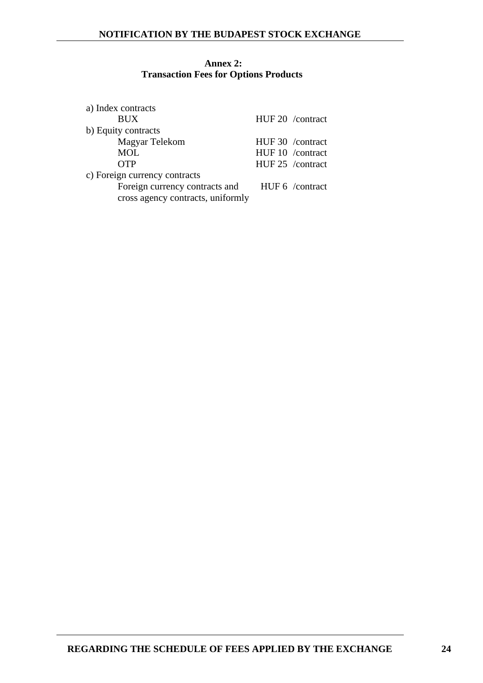#### <span id="page-23-0"></span>**Annex 2: Transaction Fees for Options Products**

| a) Index contracts                |                  |
|-----------------------------------|------------------|
| <b>BUX</b>                        | HUF 20 /contract |
| b) Equity contracts               |                  |
| Magyar Telekom                    | HUF 30 /contract |
| <b>MOL</b>                        | HUF 10 /contract |
| <b>OTP</b>                        | HUF 25 /contract |
| c) Foreign currency contracts     |                  |
| Foreign currency contracts and    | HUF 6 /contract  |
| cross agency contracts, uniformly |                  |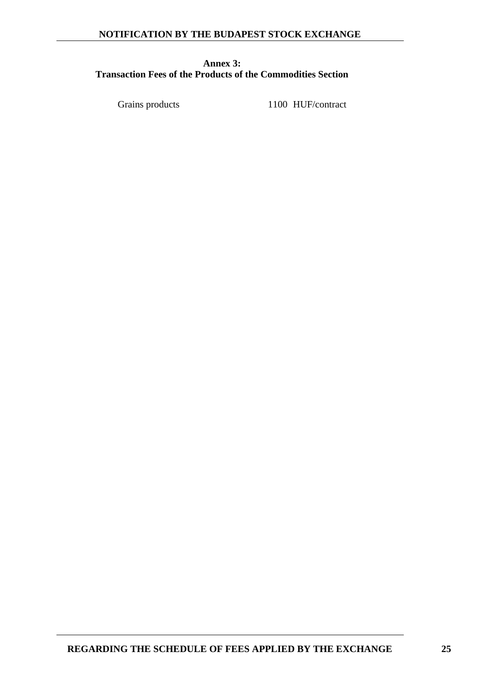## <span id="page-24-0"></span>**Annex 3: Transaction Fees of the Products of the Commodities Section**

Grains products 1100 HUF/contract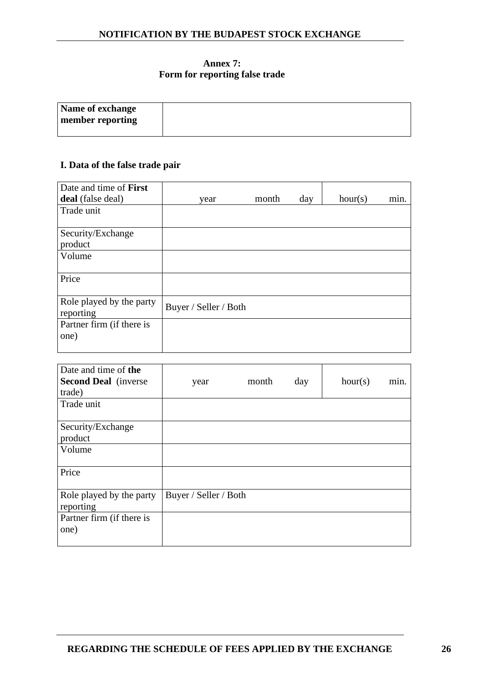## **Annex 7: Form for reporting false trade**

<span id="page-25-0"></span>

| Name of exchange |  |
|------------------|--|
| member reporting |  |
|                  |  |

## **I. Data of the false trade pair**

| Date and time of First                |                       |       |     |         |      |
|---------------------------------------|-----------------------|-------|-----|---------|------|
| deal (false deal)                     | year                  | month | day | hour(s) | min. |
| Trade unit                            |                       |       |     |         |      |
| Security/Exchange                     |                       |       |     |         |      |
| product                               |                       |       |     |         |      |
| Volume                                |                       |       |     |         |      |
| Price                                 |                       |       |     |         |      |
| Role played by the party<br>reporting | Buyer / Seller / Both |       |     |         |      |
| Partner firm (if there is<br>one)     |                       |       |     |         |      |
|                                       |                       |       |     |         |      |

| Date and time of the<br><b>Second Deal</b> (inverse<br>trade) | year                  | month | day | hour(s) | min. |
|---------------------------------------------------------------|-----------------------|-------|-----|---------|------|
| Trade unit                                                    |                       |       |     |         |      |
| Security/Exchange                                             |                       |       |     |         |      |
| product                                                       |                       |       |     |         |      |
| Volume                                                        |                       |       |     |         |      |
| Price                                                         |                       |       |     |         |      |
| Role played by the party<br>reporting                         | Buyer / Seller / Both |       |     |         |      |
| Partner firm (if there is<br>one)                             |                       |       |     |         |      |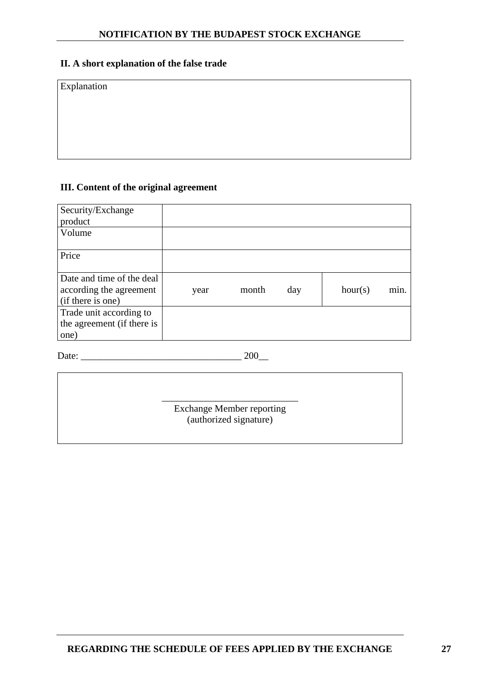## **II. A short explanation of the false trade**

Explanation

## **III. Content of the original agreement**

| Security/Exchange          |      |       |     |         |      |
|----------------------------|------|-------|-----|---------|------|
| product                    |      |       |     |         |      |
| Volume                     |      |       |     |         |      |
|                            |      |       |     |         |      |
| Price                      |      |       |     |         |      |
|                            |      |       |     |         |      |
| Date and time of the deal  |      |       |     |         |      |
| according the agreement    | year | month | day | hour(s) | min. |
| (if there is one)          |      |       |     |         |      |
| Trade unit according to    |      |       |     |         |      |
| the agreement (if there is |      |       |     |         |      |
| one)                       |      |       |     |         |      |

Date: \_\_\_\_\_\_\_\_\_\_\_\_\_\_\_\_\_\_\_\_\_\_\_\_\_\_\_\_\_\_\_\_\_ 200\_\_

\_\_\_\_\_\_\_\_\_\_\_\_\_\_\_\_\_\_\_\_\_\_\_\_\_\_\_\_ Exchange Member reporting (authorized signature)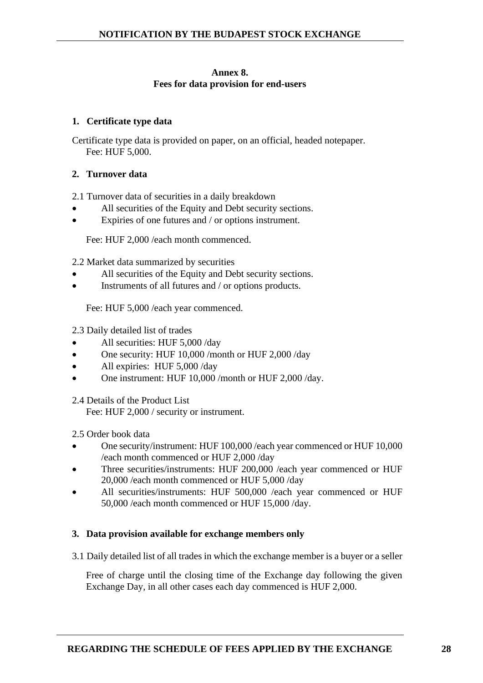#### **Annex 8. Fees for data provision for end-users**

## **1. Certificate type data**

Certificate type data is provided on paper, on an official, headed notepaper. Fee: HUF 5,000.

## **2. Turnover data**

2.1 Turnover data of securities in a daily breakdown

- All securities of the Equity and Debt security sections.
- Expiries of one futures and / or options instrument.

Fee: HUF 2,000 /each month commenced.

2.2 Market data summarized by securities

- All securities of the Equity and Debt security sections.
- Instruments of all futures and / or options products.

Fee: HUF 5,000 /each year commenced.

2.3 Daily detailed list of trades

- All securities: HUF 5,000 /day
- One security: HUF 10,000 /month or HUF 2,000 /day
- All expiries: HUF 5,000 /day
- One instrument: HUF 10,000 /month or HUF 2,000 /day.

2.4 Details of the Product List

Fee: HUF 2,000 / security or instrument.

2.5 Order book data

- One security/instrument: HUF 100,000 /each year commenced or HUF 10,000 /each month commenced or HUF 2,000 /day
- Three securities/instruments: HUF 200,000 /each year commenced or HUF 20,000 /each month commenced or HUF 5,000 /day
- All securities/instruments: HUF 500,000 /each year commenced or HUF 50,000 /each month commenced or HUF 15,000 /day.

#### **3. Data provision available for exchange members only**

3.1 Daily detailed list of all trades in which the exchange member is a buyer or a seller

Free of charge until the closing time of the Exchange day following the given Exchange Day, in all other cases each day commenced is HUF 2,000.